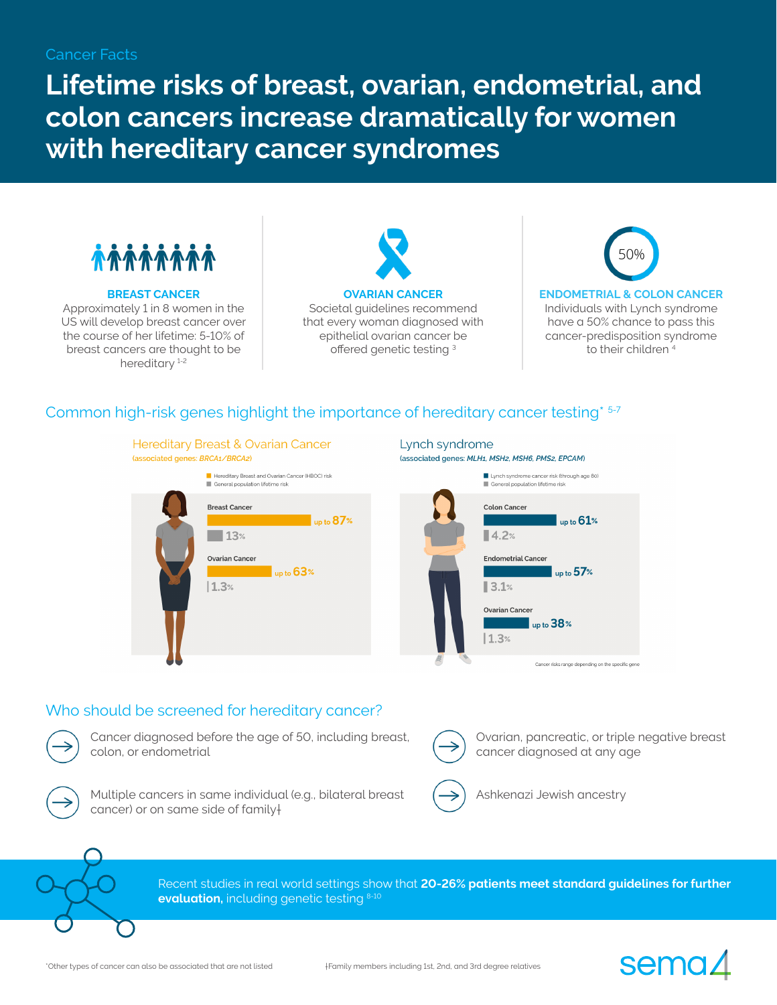## Cancer Facts

**Lifetime risks of breast, ovarian, endometrial, and colon cancers increase dramatically for women with hereditary cancer syndromes**



#### **BREAST CANCER**

Approximately 1 in 8 women in the US will develop breast cancer over the course of her lifetime: 5-10% of breast cancers are thought to be hereditary<sup>1-2</sup>

**OVARIAN CANCER** Societal guidelines recommend that every woman diagnosed with epithelial ovarian cancer be offered genetic testing <sup>3</sup>



Individuals with Lynch syndrome have a 50% chance to pass this cancer-predisposition syndrome to their children<sup>4</sup>

# Common high-risk genes highlight the importance of hereditary cancer testing\* 5-7



**Hereditary Breast & Ovarian Cancer** 

#### Lynch syndrome (associated genes: MLH1, MSH2, MSH6, PMS2, EPCAM)



## Who should be screened for hereditary cancer?



Cancer diagnosed before the age of 50, including breast, colon, or endometrial



Multiple cancers in same individual (e.g., bilateral breast cancer) or on same side of family†



Ovarian, pancreatic, or triple negative breast cancer diagnosed at any age

sema,



Recent studies in real world settings show that **20-26% patients meet standard guidelines for further evaluation,** including genetic testing 8-10